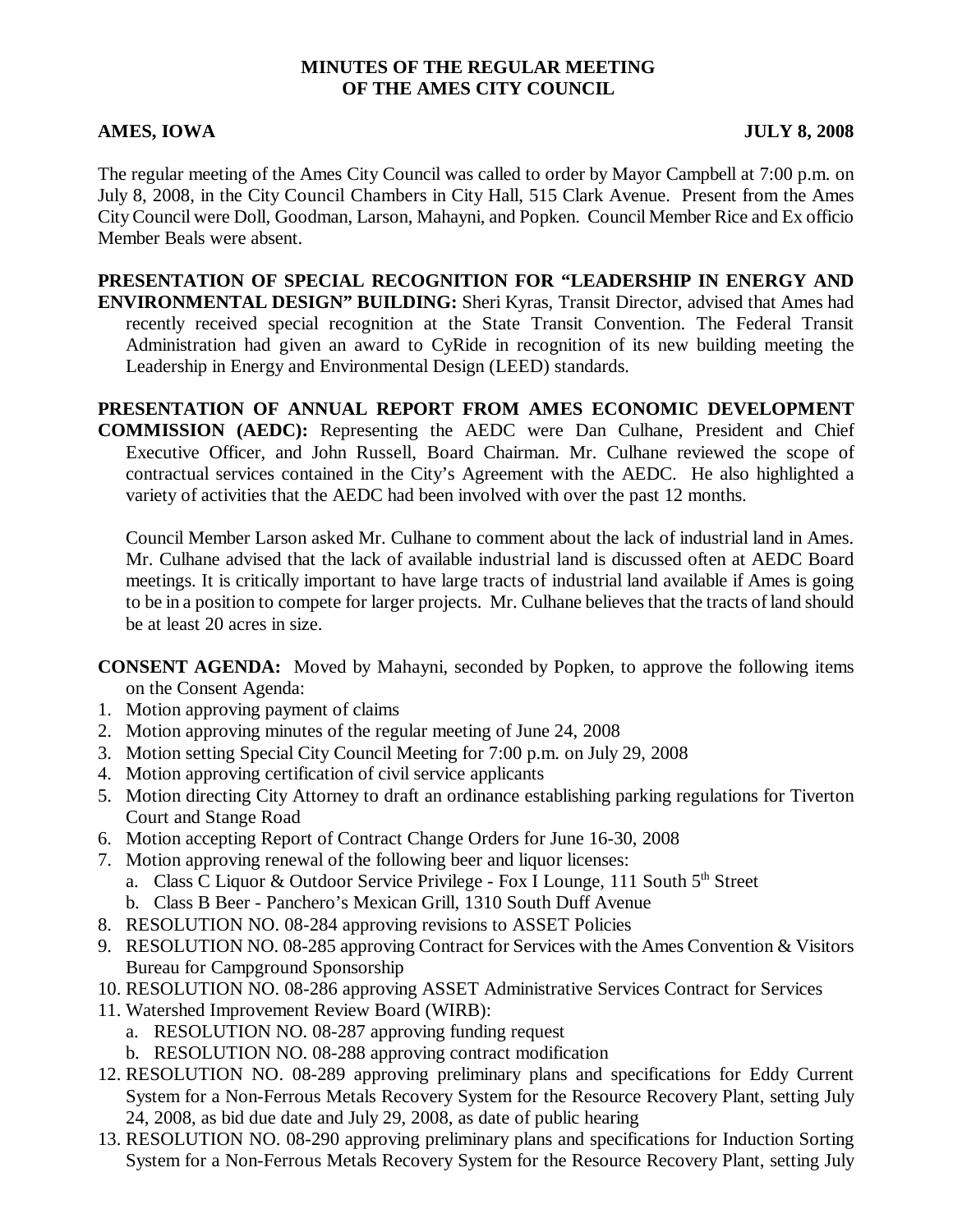#### **MINUTES OF THE REGULAR MEETING OF THE AMES CITY COUNCIL**

#### **AMES, IOWA JULY 8, 2008**

The regular meeting of the Ames City Council was called to order by Mayor Campbell at 7:00 p.m. on July 8, 2008, in the City Council Chambers in City Hall, 515 Clark Avenue. Present from the Ames City Council were Doll, Goodman, Larson, Mahayni, and Popken. Council Member Rice and Ex officio Member Beals were absent.

**PRESENTATION OF SPECIAL RECOGNITION FOR "LEADERSHIP IN ENERGY AND ENVIRONMENTAL DESIGN" BUILDING:** Sheri Kyras, Transit Director, advised that Ames had recently received special recognition at the State Transit Convention. The Federal Transit Administration had given an award to CyRide in recognition of its new building meeting the Leadership in Energy and Environmental Design (LEED) standards.

**PRESENTATION OF ANNUAL REPORT FROM AMES ECONOMIC DEVELOPMENT**

**COMMISSION (AEDC):** Representing the AEDC were Dan Culhane, President and Chief Executive Officer, and John Russell, Board Chairman. Mr. Culhane reviewed the scope of contractual services contained in the City's Agreement with the AEDC. He also highlighted a variety of activities that the AEDC had been involved with over the past 12 months.

Council Member Larson asked Mr. Culhane to comment about the lack of industrial land in Ames. Mr. Culhane advised that the lack of available industrial land is discussed often at AEDC Board meetings. It is critically important to have large tracts of industrial land available if Ames is going to be in a position to compete for larger projects. Mr. Culhane believes that the tracts of land should be at least 20 acres in size.

**CONSENT AGENDA:** Moved by Mahayni, seconded by Popken, to approve the following items on the Consent Agenda:

- 1. Motion approving payment of claims
- 2. Motion approving minutes of the regular meeting of June 24, 2008
- 3. Motion setting Special City Council Meeting for 7:00 p.m. on July 29, 2008
- 4. Motion approving certification of civil service applicants
- 5. Motion directing City Attorney to draft an ordinance establishing parking regulations for Tiverton Court and Stange Road
- 6. Motion accepting Report of Contract Change Orders for June 16-30, 2008
- 7. Motion approving renewal of the following beer and liquor licenses:
	- a. Class C Liquor & Outdoor Service Privilege Fox I Lounge, 111 South 5<sup>th</sup> Street
	- b. Class B Beer Panchero's Mexican Grill, 1310 South Duff Avenue
- 8. RESOLUTION NO. 08-284 approving revisions to ASSET Policies
- 9. RESOLUTION NO. 08-285 approving Contract for Services with the Ames Convention & Visitors Bureau for Campground Sponsorship
- 10. RESOLUTION NO. 08-286 approving ASSET Administrative Services Contract for Services
- 11. Watershed Improvement Review Board (WIRB):
	- a. RESOLUTION NO. 08-287 approving funding request
	- b. RESOLUTION NO. 08-288 approving contract modification
- 12. RESOLUTION NO. 08-289 approving preliminary plans and specifications for Eddy Current System for a Non-Ferrous Metals Recovery System for the Resource Recovery Plant, setting July 24, 2008, as bid due date and July 29, 2008, as date of public hearing
- 13. RESOLUTION NO. 08-290 approving preliminary plans and specifications for Induction Sorting System for a Non-Ferrous Metals Recovery System for the Resource Recovery Plant, setting July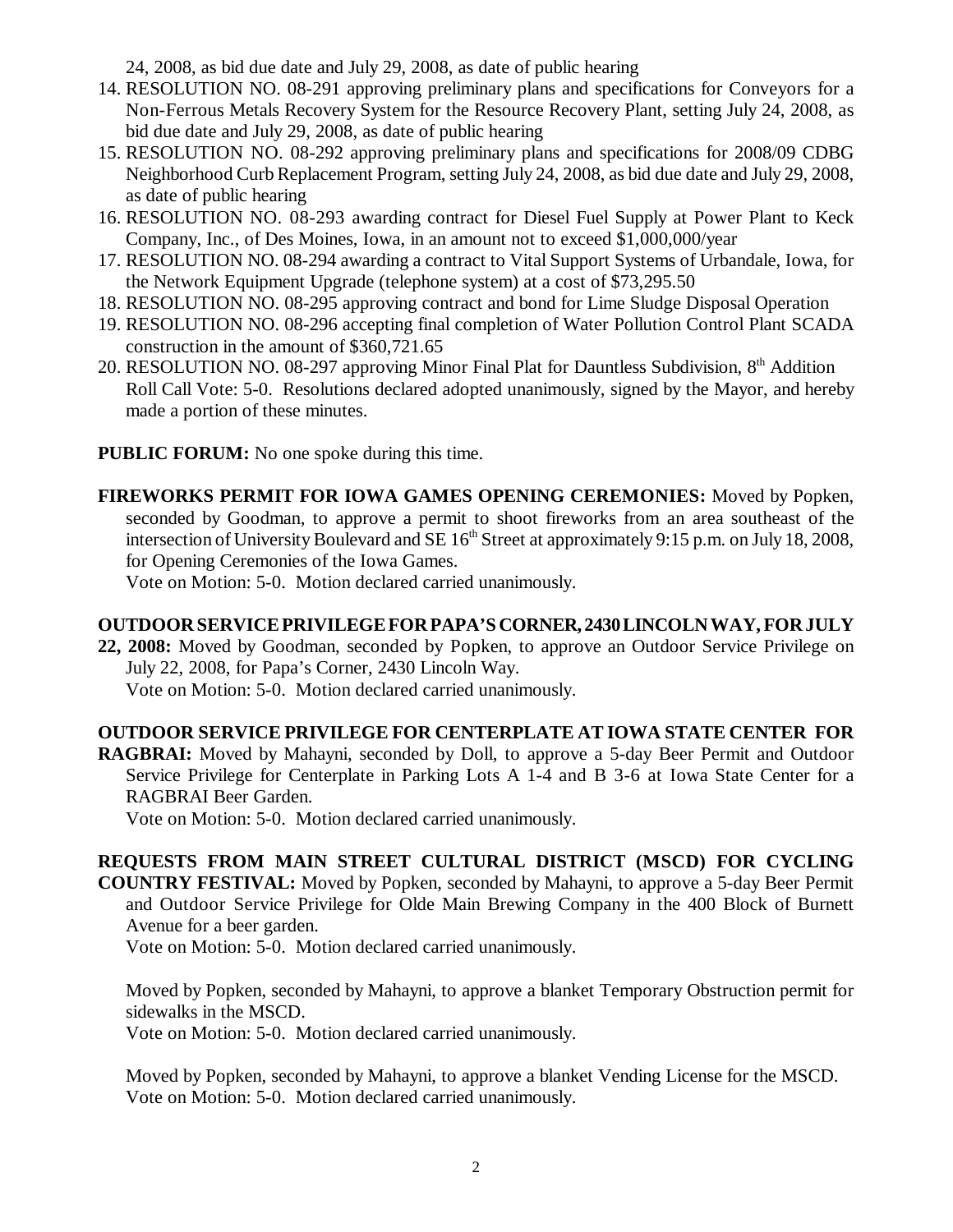24, 2008, as bid due date and July 29, 2008, as date of public hearing

- 14. RESOLUTION NO. 08-291 approving preliminary plans and specifications for Conveyors for a Non-Ferrous Metals Recovery System for the Resource Recovery Plant, setting July 24, 2008, as bid due date and July 29, 2008, as date of public hearing
- 15. RESOLUTION NO. 08-292 approving preliminary plans and specifications for 2008/09 CDBG Neighborhood Curb Replacement Program, setting July 24, 2008, as bid due date and July 29, 2008, as date of public hearing
- 16. RESOLUTION NO. 08-293 awarding contract for Diesel Fuel Supply at Power Plant to Keck Company, Inc., of Des Moines, Iowa, in an amount not to exceed \$1,000,000/year
- 17. RESOLUTION NO. 08-294 awarding a contract to Vital Support Systems of Urbandale, Iowa, for the Network Equipment Upgrade (telephone system) at a cost of \$73,295.50
- 18. RESOLUTION NO. 08-295 approving contract and bond for Lime Sludge Disposal Operation
- 19. RESOLUTION NO. 08-296 accepting final completion of Water Pollution Control Plant SCADA construction in the amount of \$360,721.65
- 20. RESOLUTION NO. 08-297 approving Minor Final Plat for Dauntless Subdivision, 8<sup>th</sup> Addition Roll Call Vote: 5-0. Resolutions declared adopted unanimously, signed by the Mayor, and hereby made a portion of these minutes.
- **PUBLIC FORUM:** No one spoke during this time.
- **FIREWORKS PERMIT FOR IOWA GAMES OPENING CEREMONIES:** Moved by Popken, seconded by Goodman, to approve a permit to shoot fireworks from an area southeast of the intersection of University Boulevard and SE 16<sup>th</sup> Street at approximately 9:15 p.m. on July 18, 2008, for Opening Ceremonies of the Iowa Games.

Vote on Motion: 5-0. Motion declared carried unanimously.

## **OUTDOOR SERVICE PRIVILEGE FOR PAPA'S CORNER, 2430 LINCOLN WAY, FOR JULY**

**22, 2008:** Moved by Goodman, seconded by Popken, to approve an Outdoor Service Privilege on July 22, 2008, for Papa's Corner, 2430 Lincoln Way. Vote on Motion: 5-0. Motion declared carried unanimously.

# **OUTDOOR SERVICE PRIVILEGE FOR CENTERPLATE AT IOWA STATE CENTER FOR**

**RAGBRAI:** Moved by Mahayni, seconded by Doll, to approve a 5-day Beer Permit and Outdoor Service Privilege for Centerplate in Parking Lots A 1-4 and B 3-6 at Iowa State Center for a RAGBRAI Beer Garden.

Vote on Motion: 5-0. Motion declared carried unanimously.

**REQUESTS FROM MAIN STREET CULTURAL DISTRICT (MSCD) FOR CYCLING COUNTRY FESTIVAL:** Moved by Popken, seconded by Mahayni, to approve a 5-day Beer Permit and Outdoor Service Privilege for Olde Main Brewing Company in the 400 Block of Burnett Avenue for a beer garden.

Vote on Motion: 5-0. Motion declared carried unanimously.

Moved by Popken, seconded by Mahayni, to approve a blanket Temporary Obstruction permit for sidewalks in the MSCD.

Vote on Motion: 5-0. Motion declared carried unanimously.

Moved by Popken, seconded by Mahayni, to approve a blanket Vending License for the MSCD. Vote on Motion: 5-0. Motion declared carried unanimously.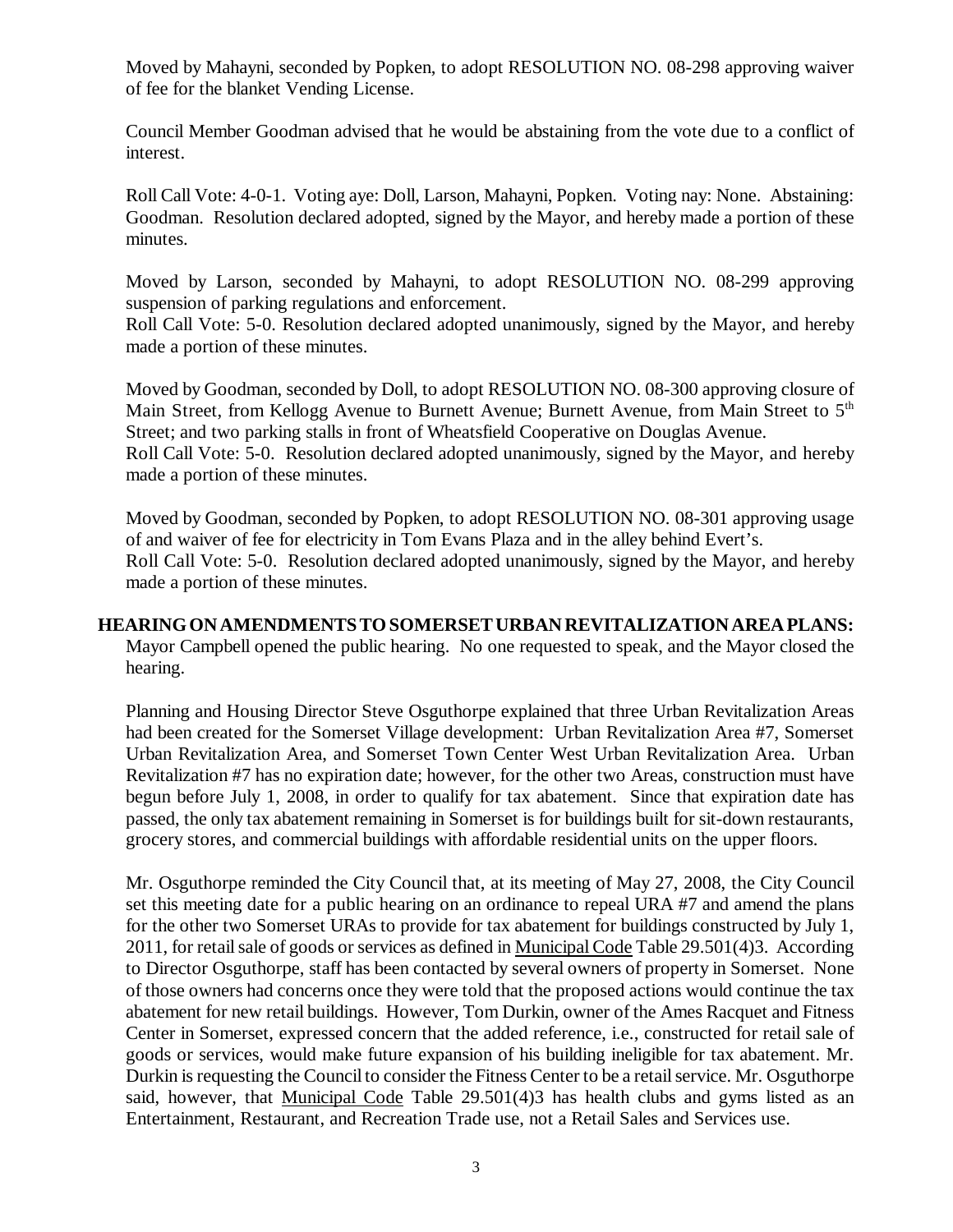Moved by Mahayni, seconded by Popken, to adopt RESOLUTION NO. 08-298 approving waiver of fee for the blanket Vending License.

Council Member Goodman advised that he would be abstaining from the vote due to a conflict of interest.

Roll Call Vote: 4-0-1. Voting aye: Doll, Larson, Mahayni, Popken. Voting nay: None. Abstaining: Goodman. Resolution declared adopted, signed by the Mayor, and hereby made a portion of these minutes.

Moved by Larson, seconded by Mahayni, to adopt RESOLUTION NO. 08-299 approving suspension of parking regulations and enforcement.

Roll Call Vote: 5-0. Resolution declared adopted unanimously, signed by the Mayor, and hereby made a portion of these minutes.

Moved by Goodman, seconded by Doll, to adopt RESOLUTION NO. 08-300 approving closure of Main Street, from Kellogg Avenue to Burnett Avenue; Burnett Avenue, from Main Street to 5<sup>th</sup> Street; and two parking stalls in front of Wheatsfield Cooperative on Douglas Avenue. Roll Call Vote: 5-0. Resolution declared adopted unanimously, signed by the Mayor, and hereby made a portion of these minutes.

Moved by Goodman, seconded by Popken, to adopt RESOLUTION NO. 08-301 approving usage of and waiver of fee for electricity in Tom Evans Plaza and in the alley behind Evert's. Roll Call Vote: 5-0. Resolution declared adopted unanimously, signed by the Mayor, and hereby made a portion of these minutes.

# **HEARING ON AMENDMENTS TO SOMERSET URBAN REVITALIZATION AREA PLANS:**

Mayor Campbell opened the public hearing. No one requested to speak, and the Mayor closed the hearing.

Planning and Housing Director Steve Osguthorpe explained that three Urban Revitalization Areas had been created for the Somerset Village development: Urban Revitalization Area #7, Somerset Urban Revitalization Area, and Somerset Town Center West Urban Revitalization Area. Urban Revitalization #7 has no expiration date; however, for the other two Areas, construction must have begun before July 1, 2008, in order to qualify for tax abatement. Since that expiration date has passed, the only tax abatement remaining in Somerset is for buildings built for sit-down restaurants, grocery stores, and commercial buildings with affordable residential units on the upper floors.

Mr. Osguthorpe reminded the City Council that, at its meeting of May 27, 2008, the City Council set this meeting date for a public hearing on an ordinance to repeal URA #7 and amend the plans for the other two Somerset URAs to provide for tax abatement for buildings constructed by July 1, 2011, for retail sale of goods or services as defined in Municipal Code Table 29.501(4)3. According to Director Osguthorpe, staff has been contacted by several owners of property in Somerset. None of those owners had concerns once they were told that the proposed actions would continue the tax abatement for new retail buildings. However, Tom Durkin, owner of the Ames Racquet and Fitness Center in Somerset, expressed concern that the added reference, i.e., constructed for retail sale of goods or services, would make future expansion of his building ineligible for tax abatement. Mr. Durkin is requesting the Council to consider the Fitness Center to be a retail service. Mr. Osguthorpe said, however, that Municipal Code Table 29.501(4)3 has health clubs and gyms listed as an Entertainment, Restaurant, and Recreation Trade use, not a Retail Sales and Services use.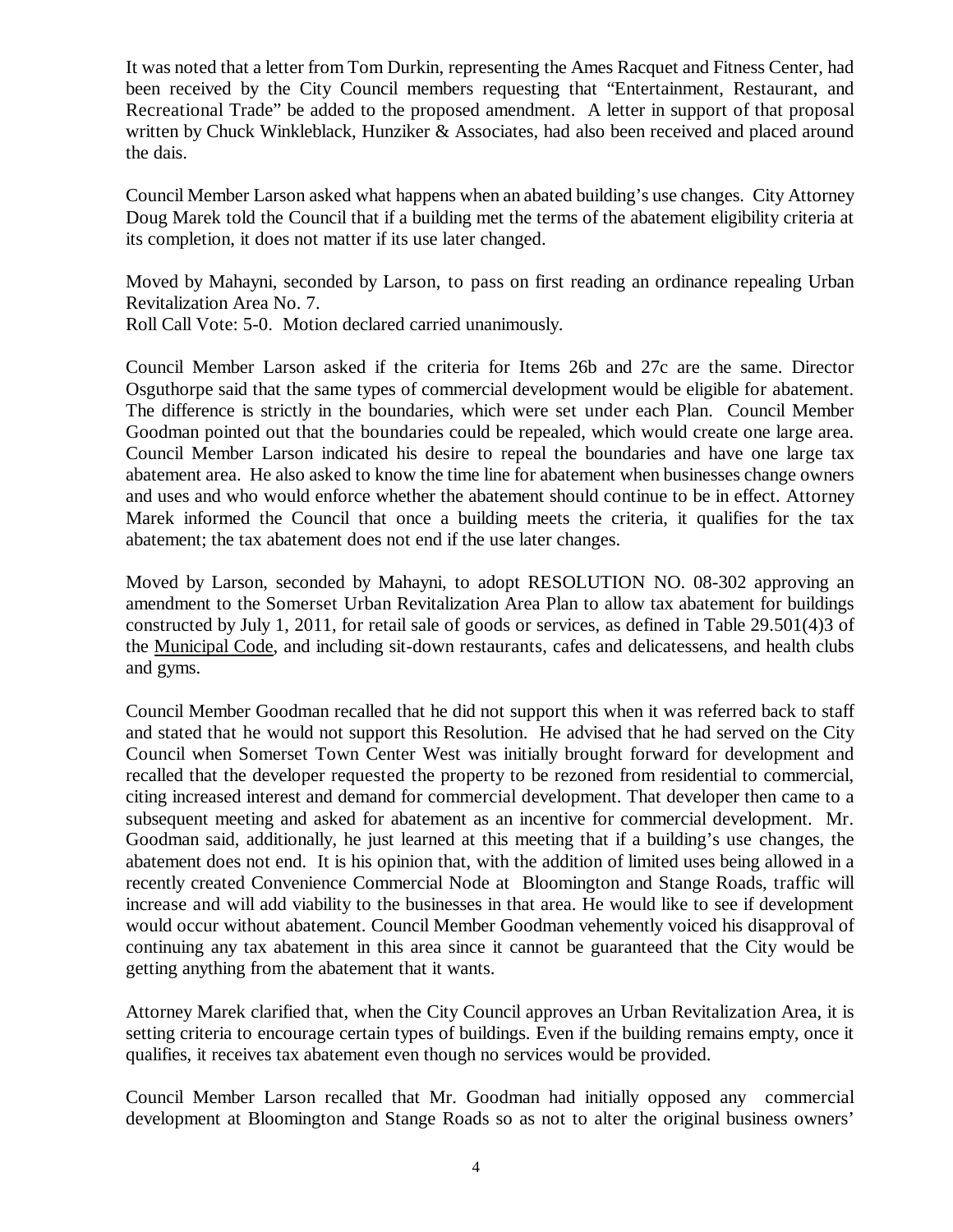It was noted that a letter from Tom Durkin, representing the Ames Racquet and Fitness Center, had been received by the City Council members requesting that "Entertainment, Restaurant, and Recreational Trade" be added to the proposed amendment. A letter in support of that proposal written by Chuck Winkleblack, Hunziker & Associates, had also been received and placed around the dais.

Council Member Larson asked what happens when an abated building's use changes. City Attorney Doug Marek told the Council that if a building met the terms of the abatement eligibility criteria at its completion, it does not matter if its use later changed.

Moved by Mahayni, seconded by Larson, to pass on first reading an ordinance repealing Urban Revitalization Area No. 7.

Roll Call Vote: 5-0. Motion declared carried unanimously.

Council Member Larson asked if the criteria for Items 26b and 27c are the same. Director Osguthorpe said that the same types of commercial development would be eligible for abatement. The difference is strictly in the boundaries, which were set under each Plan. Council Member Goodman pointed out that the boundaries could be repealed, which would create one large area. Council Member Larson indicated his desire to repeal the boundaries and have one large tax abatement area. He also asked to know the time line for abatement when businesses change owners and uses and who would enforce whether the abatement should continue to be in effect. Attorney Marek informed the Council that once a building meets the criteria, it qualifies for the tax abatement; the tax abatement does not end if the use later changes.

Moved by Larson, seconded by Mahayni, to adopt RESOLUTION NO. 08-302 approving an amendment to the Somerset Urban Revitalization Area Plan to allow tax abatement for buildings constructed by July 1, 2011, for retail sale of goods or services, as defined in Table 29.501(4)3 of the Municipal Code, and including sit-down restaurants, cafes and delicatessens, and health clubs and gyms.

Council Member Goodman recalled that he did not support this when it was referred back to staff and stated that he would not support this Resolution. He advised that he had served on the City Council when Somerset Town Center West was initially brought forward for development and recalled that the developer requested the property to be rezoned from residential to commercial, citing increased interest and demand for commercial development. That developer then came to a subsequent meeting and asked for abatement as an incentive for commercial development. Mr. Goodman said, additionally, he just learned at this meeting that if a building's use changes, the abatement does not end. It is his opinion that, with the addition of limited uses being allowed in a recently created Convenience Commercial Node at Bloomington and Stange Roads, traffic will increase and will add viability to the businesses in that area. He would like to see if development would occur without abatement. Council Member Goodman vehemently voiced his disapproval of continuing any tax abatement in this area since it cannot be guaranteed that the City would be getting anything from the abatement that it wants.

Attorney Marek clarified that, when the City Council approves an Urban Revitalization Area, it is setting criteria to encourage certain types of buildings. Even if the building remains empty, once it qualifies, it receives tax abatement even though no services would be provided.

Council Member Larson recalled that Mr. Goodman had initially opposed any commercial development at Bloomington and Stange Roads so as not to alter the original business owners'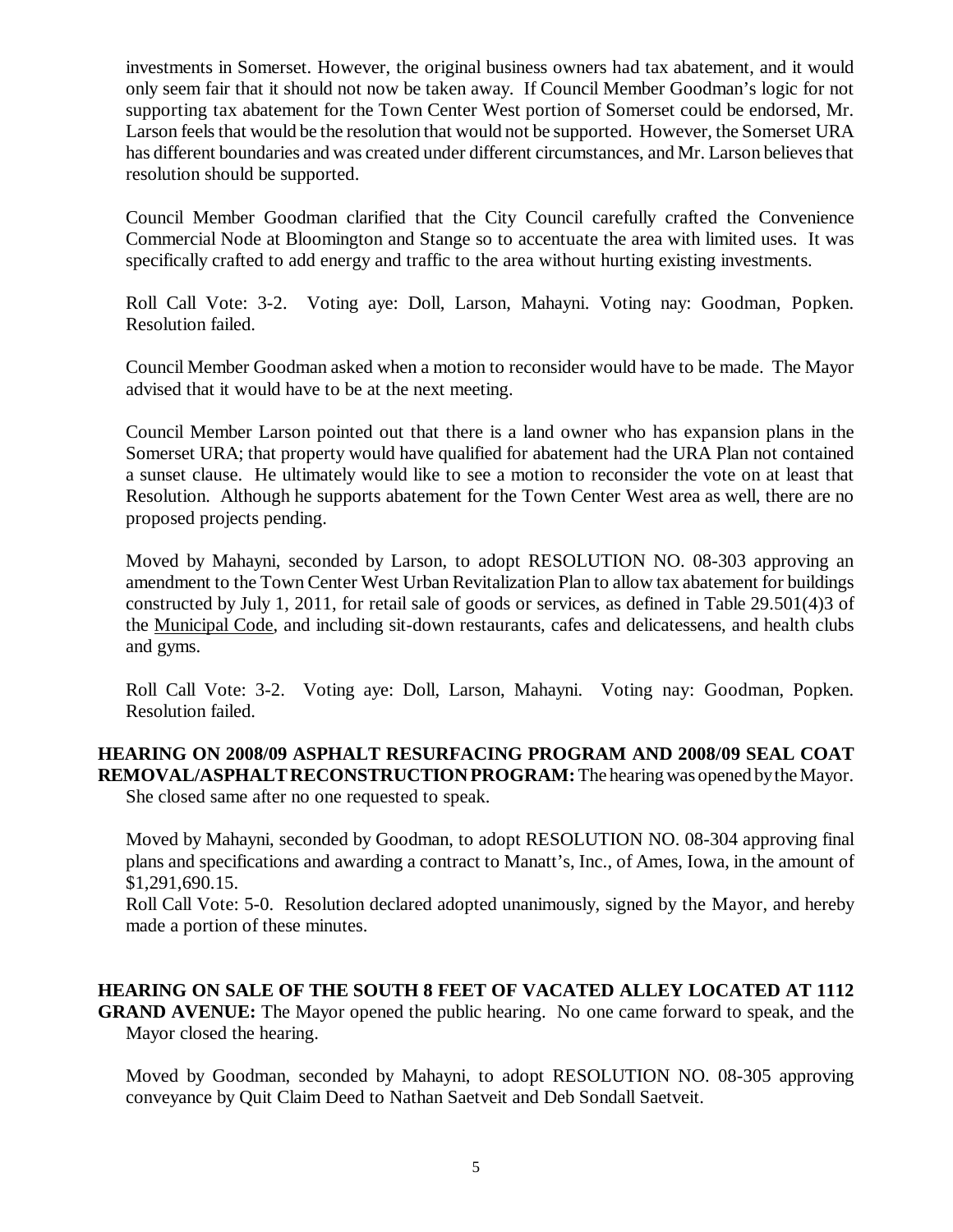investments in Somerset. However, the original business owners had tax abatement, and it would only seem fair that it should not now be taken away. If Council Member Goodman's logic for not supporting tax abatement for the Town Center West portion of Somerset could be endorsed, Mr. Larson feels that would be the resolution that would not be supported. However, the Somerset URA has different boundaries and was created under different circumstances, and Mr. Larson believes that resolution should be supported.

Council Member Goodman clarified that the City Council carefully crafted the Convenience Commercial Node at Bloomington and Stange so to accentuate the area with limited uses. It was specifically crafted to add energy and traffic to the area without hurting existing investments.

Roll Call Vote: 3-2. Voting aye: Doll, Larson, Mahayni. Voting nay: Goodman, Popken. Resolution failed.

Council Member Goodman asked when a motion to reconsider would have to be made. The Mayor advised that it would have to be at the next meeting.

Council Member Larson pointed out that there is a land owner who has expansion plans in the Somerset URA; that property would have qualified for abatement had the URA Plan not contained a sunset clause. He ultimately would like to see a motion to reconsider the vote on at least that Resolution. Although he supports abatement for the Town Center West area as well, there are no proposed projects pending.

Moved by Mahayni, seconded by Larson, to adopt RESOLUTION NO. 08-303 approving an amendment to the Town Center West Urban Revitalization Plan to allow tax abatement for buildings constructed by July 1, 2011, for retail sale of goods or services, as defined in Table 29.501(4)3 of the Municipal Code, and including sit-down restaurants, cafes and delicatessens, and health clubs and gyms.

Roll Call Vote: 3-2. Voting aye: Doll, Larson, Mahayni. Voting nay: Goodman, Popken. Resolution failed.

**HEARING ON 2008/09 ASPHALT RESURFACING PROGRAM AND 2008/09 SEAL COAT REMOVAL/ASPHALT RECONSTRUCTION PROGRAM:** The hearing was opened by the Mayor.

She closed same after no one requested to speak.

Moved by Mahayni, seconded by Goodman, to adopt RESOLUTION NO. 08-304 approving final plans and specifications and awarding a contract to Manatt's, Inc., of Ames, Iowa, in the amount of \$1,291,690.15.

Roll Call Vote: 5-0. Resolution declared adopted unanimously, signed by the Mayor, and hereby made a portion of these minutes.

**HEARING ON SALE OF THE SOUTH 8 FEET OF VACATED ALLEY LOCATED AT 1112 GRAND AVENUE:** The Mayor opened the public hearing. No one came forward to speak, and the Mayor closed the hearing.

Moved by Goodman, seconded by Mahayni, to adopt RESOLUTION NO. 08-305 approving conveyance by Quit Claim Deed to Nathan Saetveit and Deb Sondall Saetveit.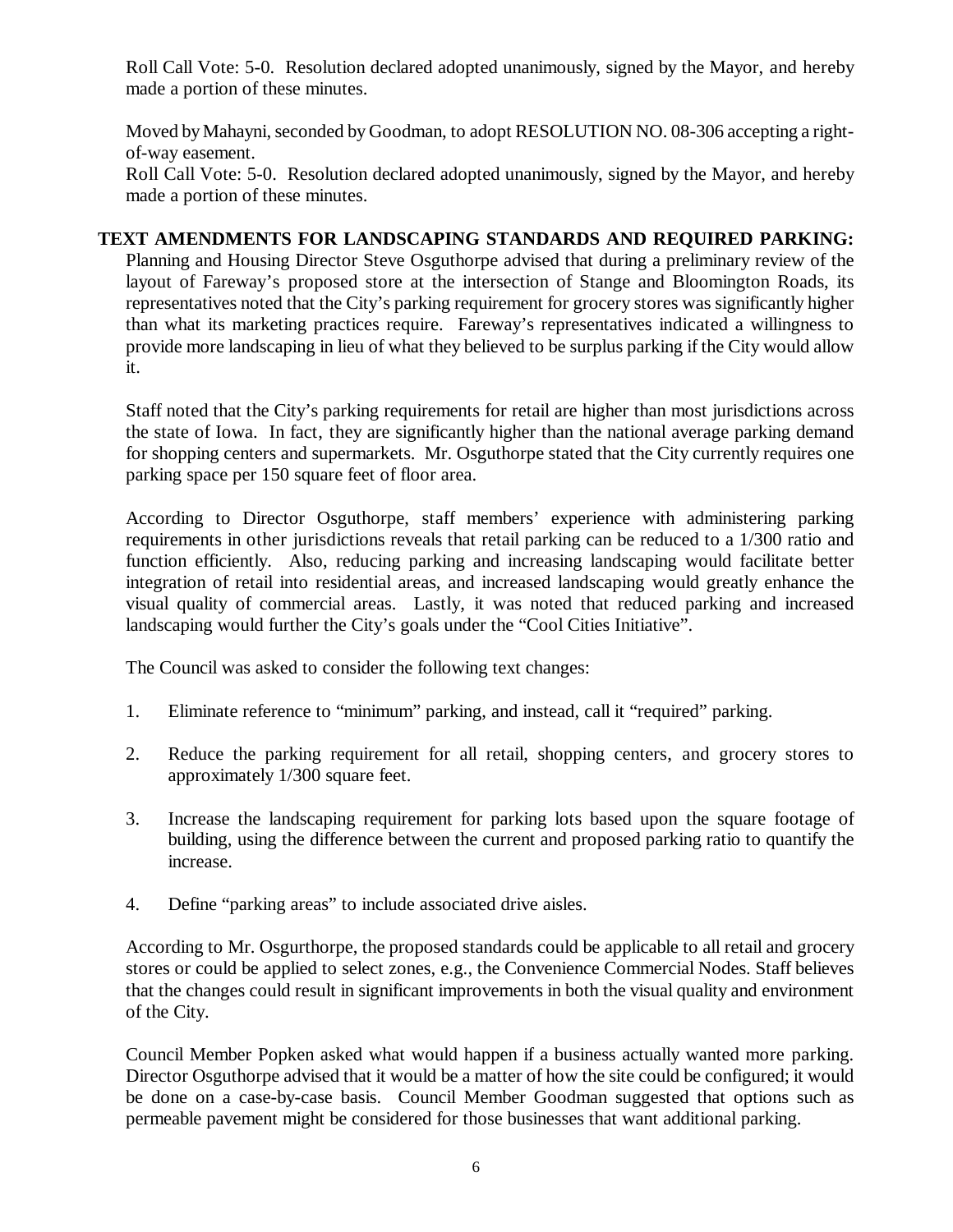Roll Call Vote: 5-0. Resolution declared adopted unanimously, signed by the Mayor, and hereby made a portion of these minutes.

Moved by Mahayni, seconded by Goodman, to adopt RESOLUTION NO. 08-306 accepting a rightof-way easement.

Roll Call Vote: 5-0. Resolution declared adopted unanimously, signed by the Mayor, and hereby made a portion of these minutes.

### **TEXT AMENDMENTS FOR LANDSCAPING STANDARDS AND REQUIRED PARKING:**

Planning and Housing Director Steve Osguthorpe advised that during a preliminary review of the layout of Fareway's proposed store at the intersection of Stange and Bloomington Roads, its representatives noted that the City's parking requirement for grocery stores was significantly higher than what its marketing practices require. Fareway's representatives indicated a willingness to provide more landscaping in lieu of what they believed to be surplus parking if the City would allow it.

Staff noted that the City's parking requirements for retail are higher than most jurisdictions across the state of Iowa. In fact, they are significantly higher than the national average parking demand for shopping centers and supermarkets. Mr. Osguthorpe stated that the City currently requires one parking space per 150 square feet of floor area.

According to Director Osguthorpe, staff members' experience with administering parking requirements in other jurisdictions reveals that retail parking can be reduced to a 1/300 ratio and function efficiently. Also, reducing parking and increasing landscaping would facilitate better integration of retail into residential areas, and increased landscaping would greatly enhance the visual quality of commercial areas. Lastly, it was noted that reduced parking and increased landscaping would further the City's goals under the "Cool Cities Initiative".

The Council was asked to consider the following text changes:

- 1. Eliminate reference to "minimum" parking, and instead, call it "required" parking.
- 2. Reduce the parking requirement for all retail, shopping centers, and grocery stores to approximately 1/300 square feet.
- 3. Increase the landscaping requirement for parking lots based upon the square footage of building, using the difference between the current and proposed parking ratio to quantify the increase.
- 4. Define "parking areas" to include associated drive aisles.

According to Mr. Osgurthorpe, the proposed standards could be applicable to all retail and grocery stores or could be applied to select zones, e.g., the Convenience Commercial Nodes. Staff believes that the changes could result in significant improvements in both the visual quality and environment of the City.

Council Member Popken asked what would happen if a business actually wanted more parking. Director Osguthorpe advised that it would be a matter of how the site could be configured; it would be done on a case-by-case basis. Council Member Goodman suggested that options such as permeable pavement might be considered for those businesses that want additional parking.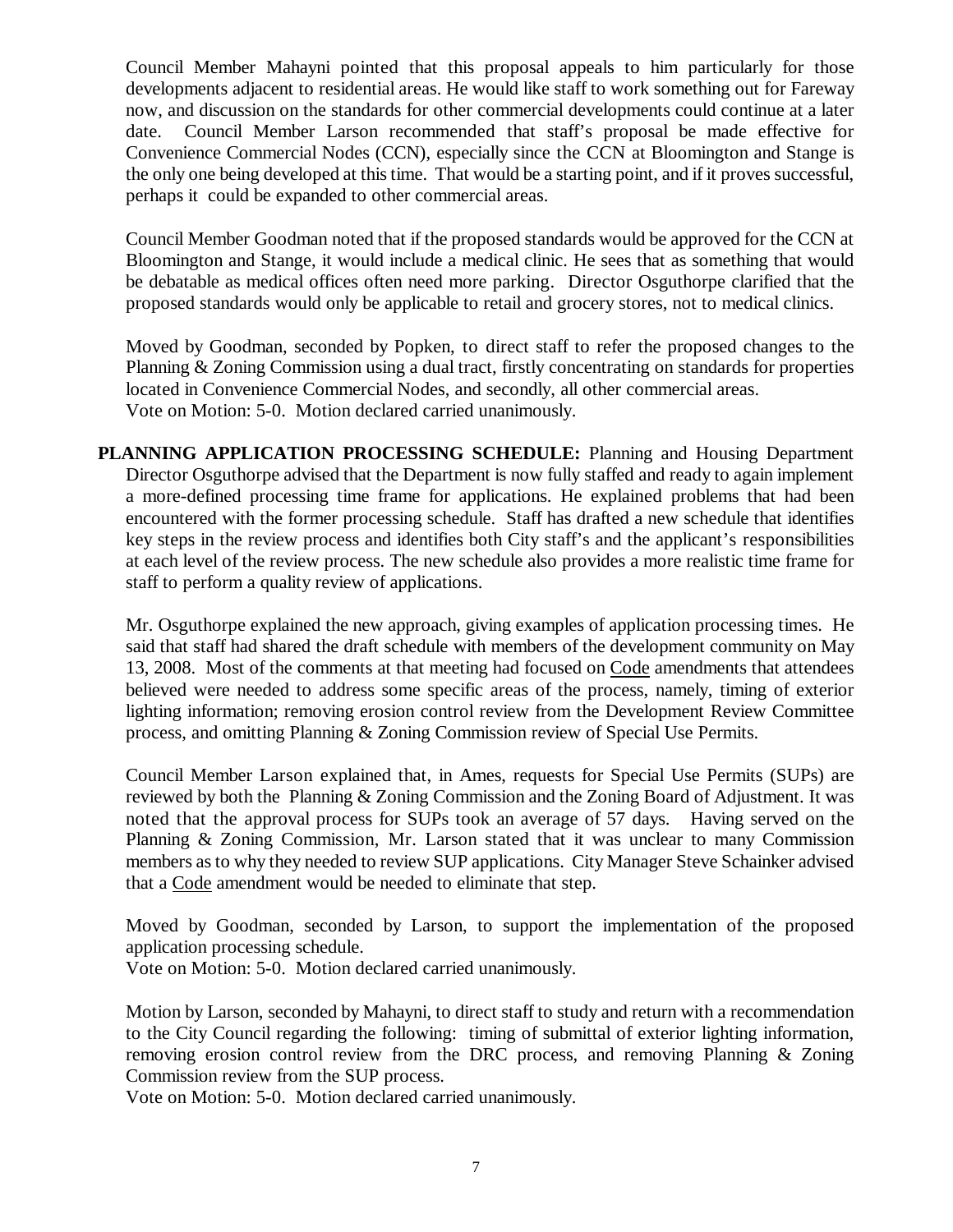Council Member Mahayni pointed that this proposal appeals to him particularly for those developments adjacent to residential areas. He would like staff to work something out for Fareway now, and discussion on the standards for other commercial developments could continue at a later date. Council Member Larson recommended that staff's proposal be made effective for Convenience Commercial Nodes (CCN), especially since the CCN at Bloomington and Stange is the only one being developed at this time. That would be a starting point, and if it proves successful, perhaps it could be expanded to other commercial areas.

Council Member Goodman noted that if the proposed standards would be approved for the CCN at Bloomington and Stange, it would include a medical clinic. He sees that as something that would be debatable as medical offices often need more parking. Director Osguthorpe clarified that the proposed standards would only be applicable to retail and grocery stores, not to medical clinics.

Moved by Goodman, seconded by Popken, to direct staff to refer the proposed changes to the Planning & Zoning Commission using a dual tract, firstly concentrating on standards for properties located in Convenience Commercial Nodes, and secondly, all other commercial areas. Vote on Motion: 5-0. Motion declared carried unanimously.

**PLANNING APPLICATION PROCESSING SCHEDULE:** Planning and Housing Department Director Osguthorpe advised that the Department is now fully staffed and ready to again implement a more-defined processing time frame for applications. He explained problems that had been encountered with the former processing schedule. Staff has drafted a new schedule that identifies key steps in the review process and identifies both City staff's and the applicant's responsibilities at each level of the review process. The new schedule also provides a more realistic time frame for staff to perform a quality review of applications.

Mr. Osguthorpe explained the new approach, giving examples of application processing times. He said that staff had shared the draft schedule with members of the development community on May 13, 2008. Most of the comments at that meeting had focused on Code amendments that attendees believed were needed to address some specific areas of the process, namely, timing of exterior lighting information; removing erosion control review from the Development Review Committee process, and omitting Planning & Zoning Commission review of Special Use Permits.

Council Member Larson explained that, in Ames, requests for Special Use Permits (SUPs) are reviewed by both the Planning & Zoning Commission and the Zoning Board of Adjustment. It was noted that the approval process for SUPs took an average of 57 days. Having served on the Planning & Zoning Commission, Mr. Larson stated that it was unclear to many Commission members as to why they needed to review SUP applications. City Manager Steve Schainker advised that a Code amendment would be needed to eliminate that step.

Moved by Goodman, seconded by Larson, to support the implementation of the proposed application processing schedule.

Vote on Motion: 5-0. Motion declared carried unanimously.

Motion by Larson, seconded by Mahayni, to direct staff to study and return with a recommendation to the City Council regarding the following: timing of submittal of exterior lighting information, removing erosion control review from the DRC process, and removing Planning & Zoning Commission review from the SUP process.

Vote on Motion: 5-0. Motion declared carried unanimously.